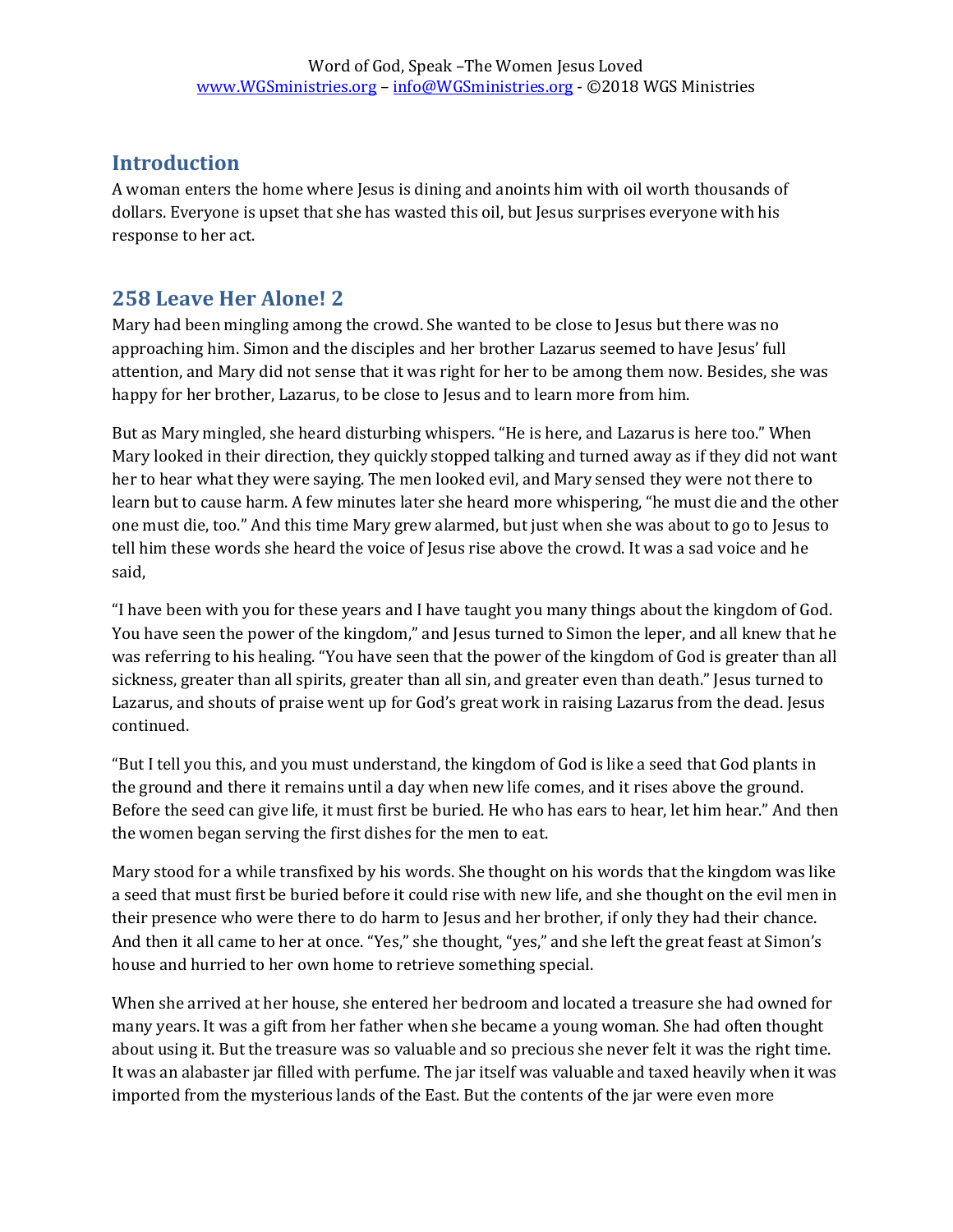## **Introduction**

A woman enters the home where Jesus is dining and anoints him with oil worth thousands of dollars. Everyone is upset that she has wasted this oil, but Jesus surprises everyone with his response to her act.

## **258 Leave Her Alone! 2**

Mary had been mingling among the crowd. She wanted to be close to Jesus but there was no approaching him. Simon and the disciples and her brother Lazarus seemed to have Jesus' full attention, and Mary did not sense that it was right for her to be among them now. Besides, she was happy for her brother, Lazarus, to be close to Jesus and to learn more from him.

But as Mary mingled, she heard disturbing whispers. "He is here, and Lazarus is here too." When Mary looked in their direction, they quickly stopped talking and turned away as if they did not want her to hear what they were saying. The men looked evil, and Mary sensed they were not there to learn but to cause harm. A few minutes later she heard more whispering, "he must die and the other one must die, too." And this time Mary grew alarmed, but just when she was about to go to Jesus to tell him these words she heard the voice of Jesus rise above the crowd. It was a sad voice and he said,

"I have been with you for these years and I have taught you many things about the kingdom of God. You have seen the power of the kingdom," and Jesus turned to Simon the leper, and all knew that he was referring to his healing. "You have seen that the power of the kingdom of God is greater than all sickness, greater than all spirits, greater than all sin, and greater even than death." Jesus turned to Lazarus, and shouts of praise went up for God's great work in raising Lazarus from the dead. Jesus continued.

"But I tell you this, and you must understand, the kingdom of God is like a seed that God plants in the ground and there it remains until a day when new life comes, and it rises above the ground. Before the seed can give life, it must first be buried. He who has ears to hear, let him hear." And then the women began serving the first dishes for the men to eat.

Mary stood for a while transfixed by his words. She thought on his words that the kingdom was like a seed that must first be buried before it could rise with new life, and she thought on the evil men in their presence who were there to do harm to Jesus and her brother, if only they had their chance. And then it all came to her at once. "Yes," she thought, "yes," and she left the great feast at Simon's house and hurried to her own home to retrieve something special.

When she arrived at her house, she entered her bedroom and located a treasure she had owned for many years. It was a gift from her father when she became a young woman. She had often thought about using it. But the treasure was so valuable and so precious she never felt it was the right time. It was an alabaster jar filled with perfume. The jar itself was valuable and taxed heavily when it was imported from the mysterious lands of the East. But the contents of the jar were even more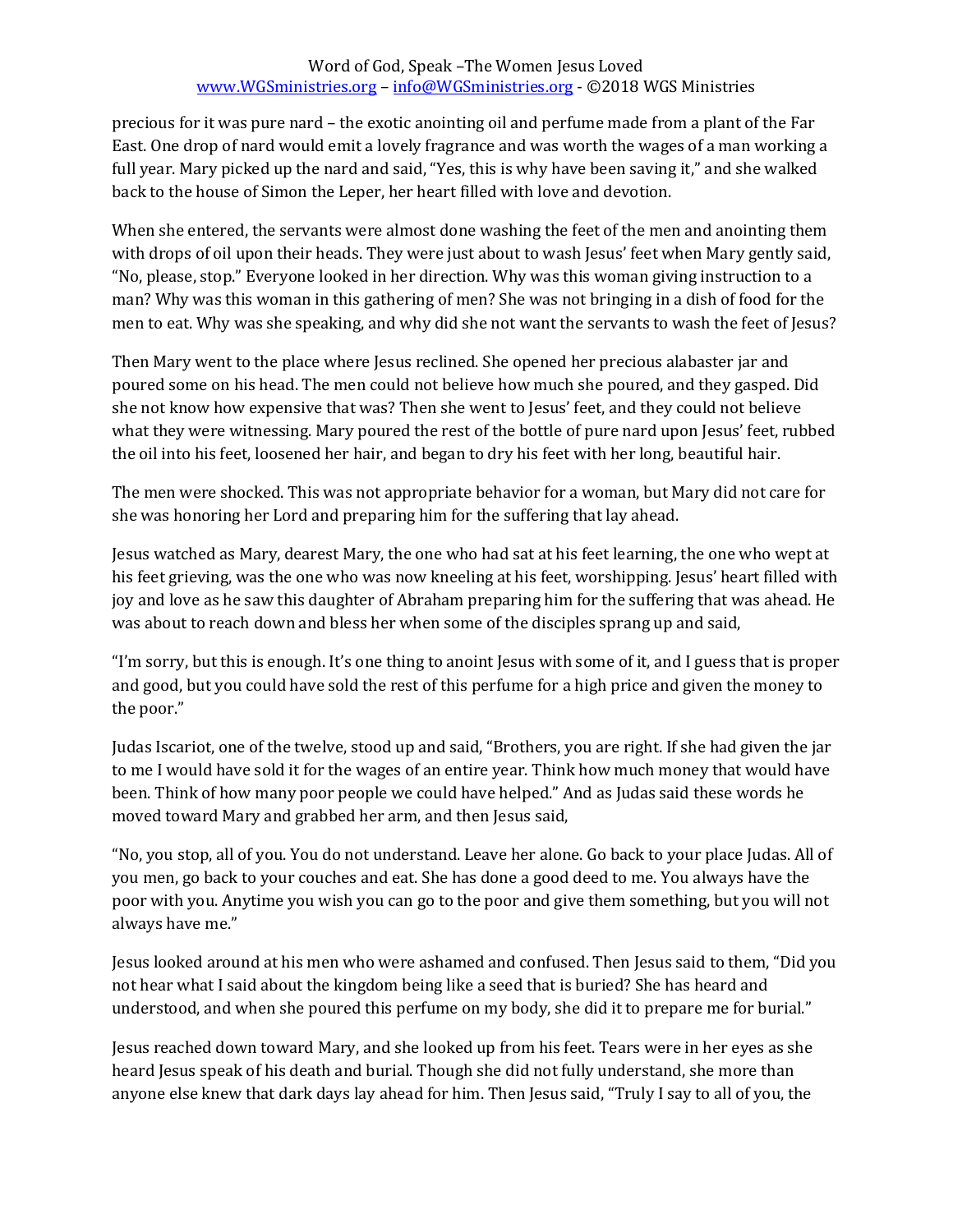## Word of God, Speak –The Women Jesus Loved [www.WGSministries.org](http://www.wgsministries.org/) – [info@WGSministries.org](mailto:info@WGSministries.org) - ©2018 WGS Ministries

precious for it was pure nard – the exotic anointing oil and perfume made from a plant of the Far East. One drop of nard would emit a lovely fragrance and was worth the wages of a man working a full year. Mary picked up the nard and said, "Yes, this is why have been saving it," and she walked back to the house of Simon the Leper, her heart filled with love and devotion.

When she entered, the servants were almost done washing the feet of the men and anointing them with drops of oil upon their heads. They were just about to wash Jesus' feet when Mary gently said, "No, please, stop." Everyone looked in her direction. Why was this woman giving instruction to a man? Why was this woman in this gathering of men? She was not bringing in a dish of food for the men to eat. Why was she speaking, and why did she not want the servants to wash the feet of Jesus?

Then Mary went to the place where Jesus reclined. She opened her precious alabaster jar and poured some on his head. The men could not believe how much she poured, and they gasped. Did she not know how expensive that was? Then she went to Jesus' feet, and they could not believe what they were witnessing. Mary poured the rest of the bottle of pure nard upon Jesus' feet, rubbed the oil into his feet, loosened her hair, and began to dry his feet with her long, beautiful hair.

The men were shocked. This was not appropriate behavior for a woman, but Mary did not care for she was honoring her Lord and preparing him for the suffering that lay ahead.

Jesus watched as Mary, dearest Mary, the one who had sat at his feet learning, the one who wept at his feet grieving, was the one who was now kneeling at his feet, worshipping. Jesus' heart filled with joy and love as he saw this daughter of Abraham preparing him for the suffering that was ahead. He was about to reach down and bless her when some of the disciples sprang up and said,

"I'm sorry, but this is enough. It's one thing to anoint Jesus with some of it, and I guess that is proper and good, but you could have sold the rest of this perfume for a high price and given the money to the poor."

Judas Iscariot, one of the twelve, stood up and said, "Brothers, you are right. If she had given the jar to me I would have sold it for the wages of an entire year. Think how much money that would have been. Think of how many poor people we could have helped." And as Judas said these words he moved toward Mary and grabbed her arm, and then Jesus said,

"No, you stop, all of you. You do not understand. Leave her alone. Go back to your place Judas. All of you men, go back to your couches and eat. She has done a good deed to me. You always have the poor with you. Anytime you wish you can go to the poor and give them something, but you will not always have me."

Jesus looked around at his men who were ashamed and confused. Then Jesus said to them, "Did you not hear what I said about the kingdom being like a seed that is buried? She has heard and understood, and when she poured this perfume on my body, she did it to prepare me for burial."

Jesus reached down toward Mary, and she looked up from his feet. Tears were in her eyes as she heard Jesus speak of his death and burial. Though she did not fully understand, she more than anyone else knew that dark days lay ahead for him. Then Jesus said, "Truly I say to all of you, the